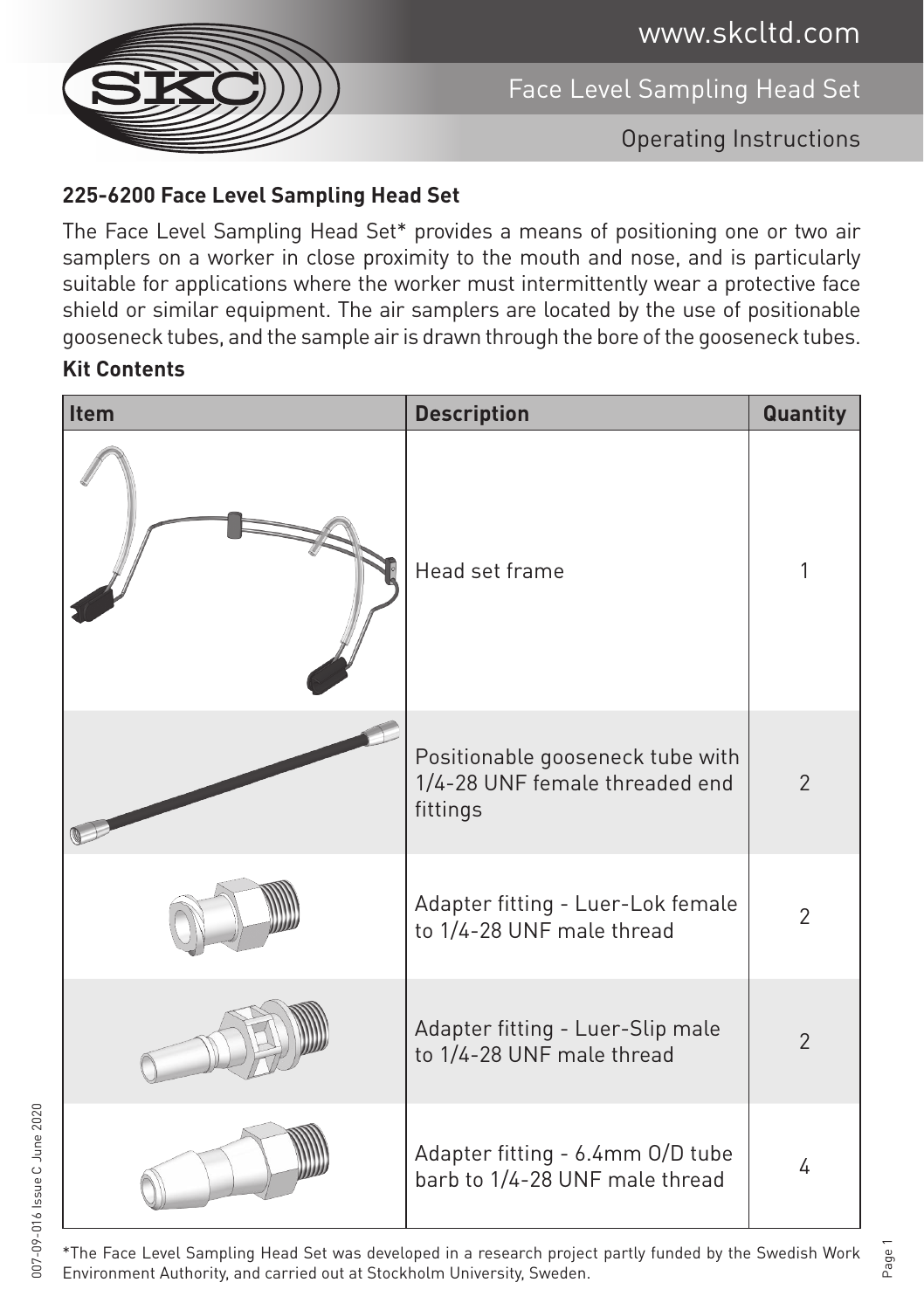www.skcltd.com



Face Level Sampling Head Set

Operating Instructions

## **225-6200 Face Level Sampling Head Set**

The Face Level Sampling Head Set\* provides a means of positioning one or two air samplers on a worker in close proximity to the mouth and nose, and is particularly suitable for applications where the worker must intermittently wear a protective face shield or similar equipment. The air samplers are located by the use of positionable gooseneck tubes, and the sample air is drawn through the bore of the gooseneck tubes.

## **Kit Contents**

| Item | <b>Description</b>                                                             | Quantity       |
|------|--------------------------------------------------------------------------------|----------------|
|      | Head set frame                                                                 | 1              |
|      | Positionable gooseneck tube with<br>1/4-28 UNF female threaded end<br>fittings | $\overline{2}$ |
|      | Adapter fitting - Luer-Lok female<br>to 1/4-28 UNF male thread                 | $\overline{2}$ |
|      | Adapter fitting - Luer-Slip male<br>to 1/4-28 UNF male thread                  | $\overline{2}$ |
|      | Adapter fitting - 6.4mm O/D tube<br>barb to 1/4-28 UNF male thread             | 4              |

\*The Face Level Sampling Head Set was developed in a research project partly funded by the Swedish Work Environment Authority, and carried out at Stockholm University, Sweden.